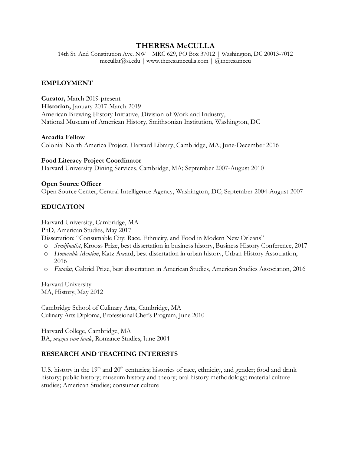# **THERESA McCULLA**

14th St. And Constitution Ave. NW | MRC 629, PO Box 37012 | Washington, DC 20013-7012  $meculat@si.edu | www.thereamcculla.com | @theresamccu$ 

#### **EMPLOYMENT**

**Curator,** March 2019-present **Historian,** January 2017-March 2019 American Brewing History Initiative, Division of Work and Industry, National Museum of American History, Smithsonian Institution, Washington, DC

#### **Arcadia Fellow**

Colonial North America Project, Harvard Library, Cambridge, MA; June-December 2016

**Food Literacy Project Coordinator** Harvard University Dining Services, Cambridge, MA; September 2007-August 2010

#### **Open Source Officer**

Open Source Center, Central Intelligence Agency, Washington, DC; September 2004-August 2007

## **EDUCATION**

Harvard University, Cambridge, MA PhD, American Studies, May 2017 Dissertation: "Consumable City: Race, Ethnicity, and Food in Modern New Orleans"

- o *Semifinalist*, Krooss Prize, best dissertation in business history, Business History Conference, 2017
- o *Honorable Mention*, Katz Award, best dissertation in urban history, Urban History Association, 2016
- o *Finalist*, Gabriel Prize, best dissertation in American Studies, American Studies Association, 2016

Harvard University MA, History, May 2012

Cambridge School of Culinary Arts, Cambridge, MA Culinary Arts Diploma, Professional Chef's Program, June 2010

Harvard College, Cambridge, MA BA, *magna cum laude*, Romance Studies, June 2004

## **RESEARCH AND TEACHING INTERESTS**

U.S. history in the 19<sup>th</sup> and 20<sup>th</sup> centuries; histories of race, ethnicity, and gender; food and drink history; public history; museum history and theory; oral history methodology; material culture studies; American Studies; consumer culture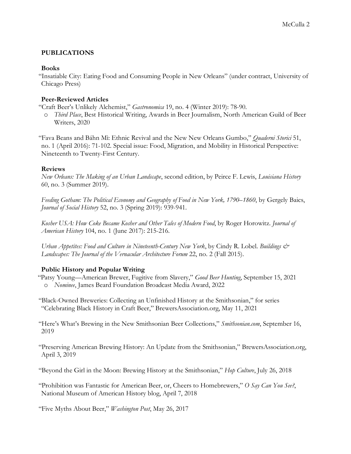# **PUBLICATIONS**

## **Books**

"Insatiable City: Eating Food and Consuming People in New Orleans" (under contract, University of Chicago Press)

# **Peer-Reviewed Articles**

"Craft Beer's Unlikely Alchemist," *Gastronomica* 19, no. 4 (Winter 2019): 78-90.

o *Third Place*, Best Historical Writing, Awards in Beer Journalism, North American Guild of Beer Writers, 2020

"Fava Beans and Báhn Mì: Ethnic Revival and the New New Orleans Gumbo," *Quaderni Storici* 51, no. 1 (April 2016): 71-102. Special issue: Food, Migration, and Mobility in Historical Perspective: Nineteenth to Twenty-First Century.

# **Reviews**

*New Orleans: The Making of an Urban Landscape*, second edition, by Peirce F. Lewis, *Louisiana History* 60, no. 3 (Summer 2019).

Feeding Gotham: The Political Economy and Geography of Food in New York, 1790–1860, by Gergely Baics, *Journal of Social History* 52, no. 3 (Spring 2019): 939-941.

*Kosher USA: How Coke Became Kosher and Other Tales of Modern Food*, by Roger Horowitz. *Journal of American History* 104, no. 1 (June 2017): 215-216.

*Urban Appetites: Food and Culture in Nineteenth-Century New York*, by Cindy R. Lobel. *Buildings & Landscapes: The Journal of the Vernacular Architecture Forum* 22, no. 2 (Fall 2015).

# **Public History and Popular Writing**

"Patsy Young—American Brewer, Fugitive from Slavery," *Good Beer Hunting*, September 15, 2021 o *Nominee*, James Beard Foundation Broadcast Media Award, 2022

"Black-Owned Breweries: Collecting an Unfinished History at the Smithsonian," for series "Celebrating Black History in Craft Beer," BrewersAssociation.org, May 11, 2021

"Here's What's Brewing in the New Smithsonian Beer Collections," *Smithsonian.com*, September 16, 2019

"Preserving American Brewing History: An Update from the Smithsonian," BrewersAssociation.org, April 3, 2019

"Beyond the Girl in the Moon: Brewing History at the Smithsonian," *Hop Culture*, July 26, 2018

"Prohibition was Fantastic for American Beer, or, Cheers to Homebrewers," *O Say Can You See?*, National Museum of American History blog, April 7, 2018

"Five Myths About Beer," *Washington Post*, May 26, 2017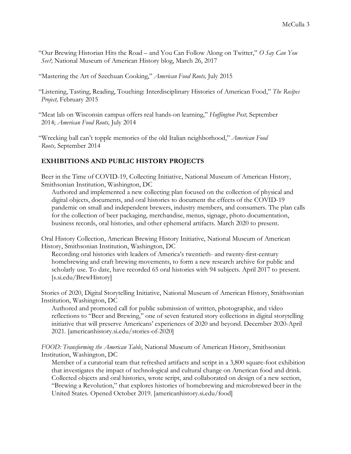- "Our Brewing Historian Hits the Road and You Can Follow Along on Twitter," *O Say Can You See?,* National Museum of American History blog, March 26, 2017
- "Mastering the Art of Szechuan Cooking," *American Food Roots,* July 2015
- "Listening, Tasting, Reading, Touching: Interdisciplinary Histories of American Food," *The Recipes Project,* February 2015
- "Meat lab on Wisconsin campus offers real hands-on learning," *Huffington Post,* September 2014; *American Food Roots,* July 2014
- "Wrecking ball can't topple memories of the old Italian neighborhood," *American Food Roots,* September 2014

## **EXHIBITIONS AND PUBLIC HISTORY PROJECTS**

Beer in the Time of COVID-19, Collecting Initiative, National Museum of American History, Smithsonian Institution, Washington, DC

Authored and implemented a new collecting plan focused on the collection of physical and digital objects, documents, and oral histories to document the effects of the COVID-19 pandemic on small and independent brewers, industry members, and consumers. The plan calls for the collection of beer packaging, merchandise, menus, signage, photo documentation, business records, oral histories, and other ephemeral artifacts. March 2020 to present.

Oral History Collection, American Brewing History Initiative, National Museum of American History, Smithsonian Institution, Washington, DC

Recording oral histories with leaders of America's twentieth- and twenty-first-century homebrewing and craft brewing movements, to form a new research archive for public and scholarly use. To date, have recorded 65 oral histories with 94 subjects. April 2017 to present. [s.si.edu/BrewHistory]

Stories of 2020, Digital Storytelling Initiative, National Museum of American History, Smithsonian Institution, Washington, DC

Authored and promoted call for public submission of written, photographic, and video reflections to "Beer and Brewing," one of seven featured story collections in digital storytelling initiative that will preserve Americans' experiences of 2020 and beyond. December 2020-April 2021. [americanhistory.si.edu/stories-of-2020]

*FOOD: Transforming the American Table*, National Museum of American History, Smithsonian Institution, Washington, DC

Member of a curatorial team that refreshed artifacts and script in a 3,800 square-foot exhibition that investigates the impact of technological and cultural change on American food and drink. Collected objects and oral histories, wrote script, and collaborated on design of a new section, "Brewing a Revolution," that explores histories of homebrewing and microbrewed beer in the United States. Opened October 2019. [americanhistory.si.edu/food]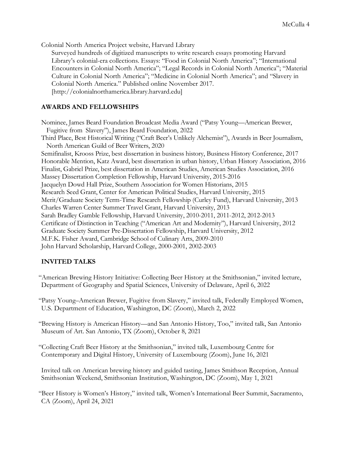Colonial North America Project website, Harvard Library

Surveyed hundreds of digitized manuscripts to write research essays promoting Harvard Library's colonial-era collections. Essays: "Food in Colonial North America"; "International Encounters in Colonial North America"; "Legal Records in Colonial North America"; "Material Culture in Colonial North America"; "Medicine in Colonial North America"; and "Slavery in Colonial North America." Published online November 2017. [http://colonialnorthamerica.library.harvard.edu]

## **AWARDS AND FELLOWSHIPS**

Nominee, James Beard Foundation Broadcast Media Award ("Patsy Young—American Brewer, Fugitive from Slavery"), James Beard Foundation, 2022 Third Place, Best Historical Writing ("Craft Beer's Unlikely Alchemist"), Awards in Beer Journalism, North American Guild of Beer Writers, 2020 Semifinalist, Krooss Prize, best dissertation in business history, Business History Conference, 2017 Honorable Mention, Katz Award, best dissertation in urban history, Urban History Association, 2016 Finalist, Gabriel Prize, best dissertation in American Studies, American Studies Association, 2016 Massey Dissertation Completion Fellowship, Harvard University, 2015-2016 Jacquelyn Dowd Hall Prize, Southern Association for Women Historians, 2015 Research Seed Grant, Center for American Political Studies, Harvard University, 2015 Merit/Graduate Society Term-Time Research Fellowship (Curley Fund), Harvard University, 2013 Charles Warren Center Summer Travel Grant, Harvard University, 2013 Sarah Bradley Gamble Fellowship, Harvard University, 2010-2011, 2011-2012, 2012-2013 Certificate of Distinction in Teaching ("American Art and Modernity"), Harvard University, 2012 Graduate Society Summer Pre-Dissertation Fellowship, Harvard University, 2012 M.F.K. Fisher Award, Cambridge School of Culinary Arts, 2009-2010 John Harvard Scholarship, Harvard College, 2000-2001, 2002-2003

# **INVITED TALKS**

"American Brewing History Initiative: Collecting Beer History at the Smithsonian," invited lecture, Department of Geography and Spatial Sciences, University of Delaware, April 6, 2022

"Patsy Young–American Brewer, Fugitive from Slavery," invited talk, Federally Employed Women, U.S. Department of Education, Washington, DC (Zoom), March 2, 2022

"Brewing History is American History—and San Antonio History, Too," invited talk, San Antonio Museum of Art. San Antonio, TX (Zoom), October 8, 2021

"Collecting Craft Beer History at the Smithsonian," invited talk, Luxembourg Centre for Contemporary and Digital History, University of Luxembourg (Zoom), June 16, 2021

Invited talk on American brewing history and guided tasting, James Smithson Reception, Annual Smithsonian Weekend, Smithsonian Institution, Washington, DC (Zoom), May 1, 2021

"Beer History is Women's History," invited talk, Women's International Beer Summit, Sacramento, CA (Zoom), April 24, 2021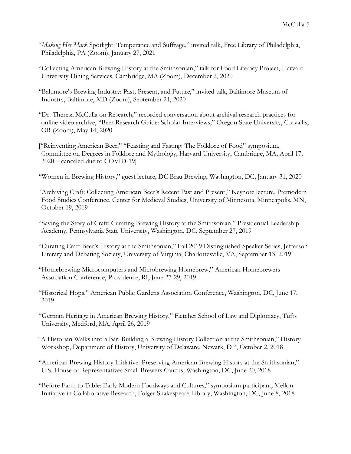- "*Making Her Mark* Spotlight: Temperance and Suffrage," invited talk, Free Library of Philadelphia, Philadelphia, PA (Zoom), January 27, 2021
- "Collecting American Brewing History at the Smithsonian," talk for Food Literacy Project, Harvard University Dining Services, Cambridge, MA (Zoom), December 2, 2020
- "Baltimore's Brewing Industry: Past, Present, and Future," invited talk, Baltimore Museum of Industry, Baltimore, MD (Zoom), September 24, 2020
- "Dr. Theresa McCulla on Research," recorded conversation about archival research practices for online video archive, "Beer Research Guide: Scholar Interviews," Oregon State University, Corvallis, OR (Zoom), May 14, 2020
- ["Reinventing American Beer," "Feasting and Fasting: The Folklore of Food" symposium, Committee on Degrees in Folklore and Mythology, Harvard University, Cambridge, MA, April 17, 2020 – canceled due to COVID-19]
- "Women in Brewing History," guest lecture, DC Brau Brewing, Washington, DC, January 31, 2020
- "Archiving Craft: Collecting American Beer's Recent Past and Present," Keynote lecture, Premodern Food Studies Conference, Center for Medieval Studies, University of Minnesota, Minneapolis, MN, October 19, 2019
- "Saving the Story of Craft: Curating Brewing History at the Smithsonian," Presidential Leadership Academy, Pennsylvania State University, Washington, DC, September 27, 2019
- "Curating Craft Beer's History at the Smithsonian," Fall 2019 Distinguished Speaker Series, Jefferson Literary and Debating Society, University of Virginia, Charlottesville, VA, September 13, 2019
- "Homebrewing Microcomputers and Microbrewing Homebrew," American Homebrewers Association Conference, Providence, RI, June 27-29, 2019
- "Historical Hops," American Public Gardens Association Conference, Washington, DC, June 17, 2019
- "German Heritage in American Brewing History," Fletcher School of Law and Diplomacy, Tufts University, Medford, MA, April 26, 2019
- "A Historian Walks into a Bar: Building a Brewing History Collection at the Smithsonian," History Workshop, Department of History, University of Delaware, Newark, DE, October 2, 2018
- "American Brewing History Initiative: Preserving American Brewing History at the Smithsonian," U.S. House of Representatives Small Brewers Caucus, Washington, DC, June 20, 2018
- "Before Farm to Table: Early Modern Foodways and Cultures," symposium participant, Mellon Initiative in Collaborative Research, Folger Shakespeare Library, Washington, DC, June 8, 2018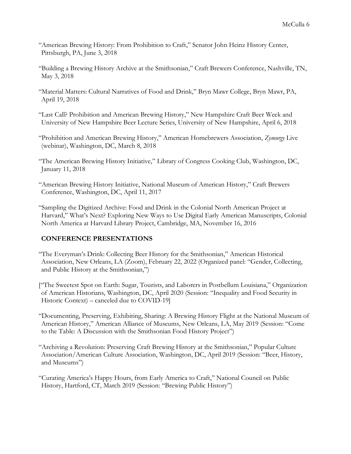- "American Brewing History: From Prohibition to Craft," Senator John Heinz History Center, Pittsburgh, PA, June 3, 2018
- "Building a Brewing History Archive at the Smithsonian," Craft Brewers Conference, Nashville, TN, May 3, 2018
- "Material Matters: Cultural Narratives of Food and Drink," Bryn Mawr College, Bryn Mawr, PA, April 19, 2018
- "Last Call? Prohibition and American Brewing History," New Hampshire Craft Beer Week and University of New Hampshire Beer Lecture Series, University of New Hampshire, April 6, 2018
- "Prohibition and American Brewing History," American Homebrewers Association, *Zymurgy* Live (webinar), Washington, DC, March 8, 2018
- "The American Brewing History Initiative," Library of Congress Cooking Club, Washington, DC, January 11, 2018
- "American Brewing History Initiative, National Museum of American History," Craft Brewers Conference, Washington, DC, April 11, 2017
- "Sampling the Digitized Archive: Food and Drink in the Colonial North American Project at Harvard," What's Next? Exploring New Ways to Use Digital Early American Manuscripts, Colonial North America at Harvard Library Project, Cambridge, MA, November 16, 2016

# **CONFERENCE PRESENTATIONS**

- "The Everyman's Drink: Collecting Beer History for the Smithsonian," American Historical Association, New Orleans, LA (Zoom), February 22, 2022 (Organized panel: "Gender, Collecting, and Public History at the Smithsonian,")
- ["The Sweetest Spot on Earth: Sugar, Tourists, and Laborers in Postbellum Louisiana," Organization of American Historians, Washington, DC, April 2020 (Session: "Inequality and Food Security in Historic Context) – canceled due to COVID-19]
- "Documenting, Preserving, Exhibiting, Sharing: A Brewing History Flight at the National Museum of American History," American Alliance of Museums, New Orleans, LA, May 2019 (Session: "Come to the Table: A Discussion with the Smithsonian Food History Project")
- "Archiving a Revolution: Preserving Craft Brewing History at the Smithsonian," Popular Culture Association/American Culture Association, Washington, DC, April 2019 (Session: "Beer, History, and Museums")
- "Curating America's Happy Hours, from Early America to Craft," National Council on Public History, Hartford, CT, March 2019 (Session: "Brewing Public History")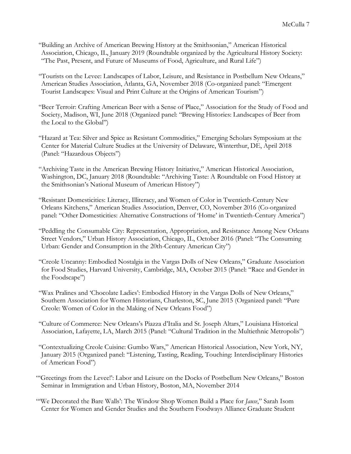- "Building an Archive of American Brewing History at the Smithsonian," American Historical Association, Chicago, IL, January 2019 (Roundtable organized by the Agricultural History Society: "The Past, Present, and Future of Museums of Food, Agriculture, and Rural Life")
- "Tourists on the Levee: Landscapes of Labor, Leisure, and Resistance in Postbellum New Orleans," American Studies Association, Atlanta, GA, November 2018 (Co-organized panel: "Emergent Tourist Landscapes: Visual and Print Culture at the Origins of American Tourism")
- "Beer Terroir: Crafting American Beer with a Sense of Place," Association for the Study of Food and Society, Madison, WI, June 2018 (Organized panel: "Brewing Histories: Landscapes of Beer from the Local to the Global")
- "Hazard at Tea: Silver and Spice as Resistant Commodities," Emerging Scholars Symposium at the Center for Material Culture Studies at the University of Delaware, Winterthur, DE, April 2018 (Panel: "Hazardous Objects")
- "Archiving Taste in the American Brewing History Initiative," American Historical Association, Washington, DC, January 2018 (Roundtable: "Archiving Taste: A Roundtable on Food History at the Smithsonian's National Museum of American History")
- "Resistant Domesticities: Literacy, Illiteracy, and Women of Color in Twentieth-Century New Orleans Kitchens," American Studies Association, Denver, CO, November 2016 (Co-organized panel: "Other Domesticities: Alternative Constructions of 'Home' in Twentieth-Century America")
- "Peddling the Consumable City: Representation, Appropriation, and Resistance Among New Orleans Street Vendors," Urban History Association, Chicago, IL, October 2016 (Panel: "The Consuming Urban: Gender and Consumption in the 20th-Century American City")
- "Creole Uncanny: Embodied Nostalgia in the Vargas Dolls of New Orleans," Graduate Association for Food Studies, Harvard University, Cambridge, MA, October 2015 (Panel: "Race and Gender in the Foodscape")
- "Wax Pralines and 'Chocolate Ladies': Embodied History in the Vargas Dolls of New Orleans," Southern Association for Women Historians, Charleston, SC, June 2015 (Organized panel: "Pure Creole: Women of Color in the Making of New Orleans Food")
- "Culture of Commerce: New Orleans's Piazza d'Italia and St. Joseph Altars," Louisiana Historical Association, Lafayette, LA, March 2015 (Panel: "Cultural Tradition in the Multiethnic Metropolis")
- "Contextualizing Creole Cuisine: Gumbo Wars," American Historical Association, New York, NY, January 2015 (Organized panel: "Listening, Tasting, Reading, Touching: Interdisciplinary Histories of American Food")
- "'Greetings from the Levee!': Labor and Leisure on the Docks of Postbellum New Orleans," Boston Seminar in Immigration and Urban History, Boston, MA, November 2014
- "'We Decorated the Bare Walls': The Window Shop Women Build a Place for *Jause*," Sarah Isom Center for Women and Gender Studies and the Southern Foodways Alliance Graduate Student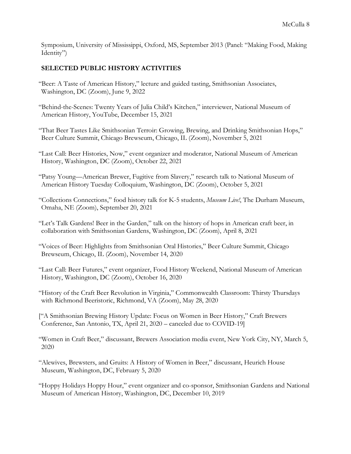Symposium, University of Mississippi, Oxford, MS, September 2013 (Panel: "Making Food, Making Identity")

#### **SELECTED PUBLIC HISTORY ACTIVITIES**

- "Beer: A Taste of American History," lecture and guided tasting, Smithsonian Associates, Washington, DC (Zoom), June 9, 2022
- "Behind-the-Scenes: Twenty Years of Julia Child's Kitchen," interviewer, National Museum of American History, YouTube, December 15, 2021
- "That Beer Tastes Like Smithsonian Terroir: Growing, Brewing, and Drinking Smithsonian Hops," Beer Culture Summit, Chicago Brewseum, Chicago, IL (Zoom), November 5, 2021
- "Last Call: Beer Histories, Now," event organizer and moderator, National Museum of American History, Washington, DC (Zoom), October 22, 2021
- "Patsy Young—American Brewer, Fugitive from Slavery," research talk to National Museum of American History Tuesday Colloquium, Washington, DC (Zoom), October 5, 2021
- "Collections Connections," food history talk for K-5 students, *Museum Live!*, The Durham Museum, Omaha, NE (Zoom), September 20, 2021
- "Let's Talk Gardens! Beer in the Garden," talk on the history of hops in American craft beer, in collaboration with Smithsonian Gardens, Washington, DC (Zoom), April 8, 2021
- "Voices of Beer: Highlights from Smithsonian Oral Histories," Beer Culture Summit, Chicago Brewseum, Chicago, IL (Zoom), November 14, 2020
- "Last Call: Beer Futures," event organizer, Food History Weekend, National Museum of American History, Washington, DC (Zoom), October 16, 2020
- "History of the Craft Beer Revolution in Virginia," Commonwealth Classroom: Thirsty Thursdays with Richmond Beeristoric, Richmond, VA (Zoom), May 28, 2020
- ["A Smithsonian Brewing History Update: Focus on Women in Beer History," Craft Brewers Conference, San Antonio, TX, April 21, 2020 – canceled due to COVID-19]
- "Women in Craft Beer," discussant, Brewers Association media event, New York City, NY, March 5, 2020
- "Alewives, Brewsters, and Gruits: A History of Women in Beer," discussant, Heurich House Museum, Washington, DC, February 5, 2020
- "Hoppy Holidays Hoppy Hour," event organizer and co-sponsor, Smithsonian Gardens and National Museum of American History, Washington, DC, December 10, 2019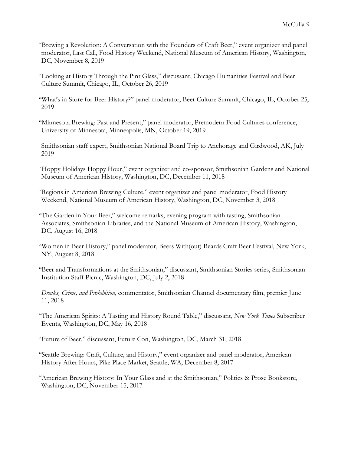- "Brewing a Revolution: A Conversation with the Founders of Craft Beer," event organizer and panel moderator, Last Call, Food History Weekend, National Museum of American History, Washington, DC, November 8, 2019
- "Looking at History Through the Pint Glass," discussant, Chicago Humanities Festival and Beer Culture Summit, Chicago, IL, October 26, 2019
- "What's in Store for Beer History?" panel moderator, Beer Culture Summit, Chicago, IL, October 25, 2019
- "Minnesota Brewing: Past and Present," panel moderator, Premodern Food Cultures conference, University of Minnesota, Minneapolis, MN, October 19, 2019
- Smithsonian staff expert, Smithsonian National Board Trip to Anchorage and Girdwood, AK, July 2019
- "Hoppy Holidays Hoppy Hour," event organizer and co-sponsor, Smithsonian Gardens and National Museum of American History, Washington, DC, December 11, 2018
- "Regions in American Brewing Culture," event organizer and panel moderator, Food History Weekend, National Museum of American History, Washington, DC, November 3, 2018
- "The Garden in Your Beer," welcome remarks, evening program with tasting, Smithsonian Associates, Smithsonian Libraries, and the National Museum of American History, Washington, DC, August 16, 2018
- "Women in Beer History," panel moderator, Beers With(out) Beards Craft Beer Festival, New York, NY, August 8, 2018
- "Beer and Transformations at the Smithsonian," discussant, Smithsonian Stories series, Smithsonian Institution Staff Picnic, Washington, DC, July 2, 2018
- *Drinks, Crime, and Prohibition*, commentator, Smithsonian Channel documentary film, premier June 11, 2018
- "The American Spirits: A Tasting and History Round Table," discussant, *New York Times* Subscriber Events, Washington, DC, May 16, 2018
- "Future of Beer," discussant, Future Con, Washington, DC, March 31, 2018
- "Seattle Brewing: Craft, Culture, and History," event organizer and panel moderator, American History After Hours, Pike Place Market, Seattle, WA, December 8, 2017
- "American Brewing History: In Your Glass and at the Smithsonian," Politics & Prose Bookstore, Washington, DC, November 15, 2017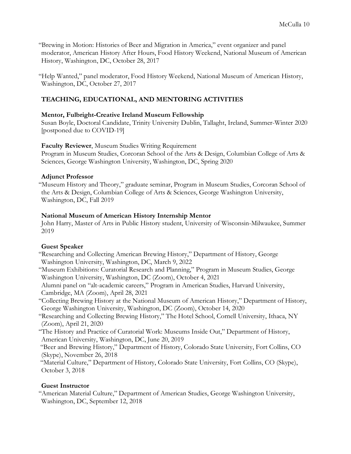"Brewing in Motion: Histories of Beer and Migration in America," event organizer and panel moderator, American History After Hours, Food History Weekend, National Museum of American History, Washington, DC, October 28, 2017

"Help Wanted," panel moderator, Food History Weekend, National Museum of American History, Washington, DC, October 27, 2017

# **TEACHING, EDUCATIONAL, AND MENTORING ACTIVITIES**

# **Mentor, Fulbright-Creative Ireland Museum Fellowship**

Susan Boyle, Doctoral Candidate, Trinity University Dublin, Tallaght, Ireland, Summer-Winter 2020 [postponed due to COVID-19]

## **Faculty Reviewer**, Museum Studies Writing Requirement

Program in Museum Studies, Corcoran School of the Arts & Design, Columbian College of Arts & Sciences, George Washington University, Washington, DC, Spring 2020

## **Adjunct Professor**

"Museum History and Theory," graduate seminar, Program in Museum Studies, Corcoran School of the Arts & Design, Columbian College of Arts & Sciences, George Washington University, Washington, DC, Fall 2019

## **National Museum of American History Internship Mentor**

John Harry, Master of Arts in Public History student, University of Wisconsin-Milwaukee, Summer 2019

# **Guest Speaker**

- "Researching and Collecting American Brewing History," Department of History, George Washington University, Washington, DC, March 9, 2022
- "Museum Exhibitions: Curatorial Research and Planning," Program in Museum Studies, George Washington University, Washington, DC (Zoom), October 4, 2021

Alumni panel on "alt-academic careers," Program in American Studies, Harvard University, Cambridge, MA (Zoom), April 28, 2021

"Collecting Brewing History at the National Museum of American History," Department of History, George Washington University, Washington, DC (Zoom), October 14, 2020

- "Researching and Collecting Brewing History," The Hotel School, Cornell University, Ithaca, NY (Zoom), April 21, 2020
- "The History and Practice of Curatorial Work: Museums Inside Out," Department of History, American University, Washington, DC, June 20, 2019

"Beer and Brewing History," Department of History, Colorado State University, Fort Collins, CO (Skype), November 26, 2018

"Material Culture," Department of History, Colorado State University, Fort Collins, CO (Skype), October 3, 2018

# **Guest Instructor**

"American Material Culture," Department of American Studies, George Washington University, Washington, DC, September 12, 2018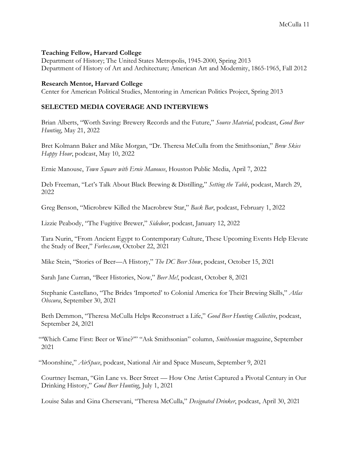#### **Teaching Fellow, Harvard College**

Department of History; The United States Metropolis, 1945-2000, Spring 2013 Department of History of Art and Architecture; American Art and Modernity, 1865-1965, Fall 2012

#### **Research Mentor, Harvard College**

Center for American Political Studies, Mentoring in American Politics Project, Spring 2013

## **SELECTED MEDIA COVERAGE AND INTERVIEWS**

Brian Alberts, "Worth Saving: Brewery Records and the Future," *Source Material*, podcast, *Good Beer Hunting*, May 21, 2022

Bret Kolmann Baker and Mike Morgan, "Dr. Theresa McCulla from the Smithsonian," *Brew Skies Happy Hour*, podcast, May 10, 2022

Ernie Manouse, *Town Square with Ernie Manouse*, Houston Public Media, April 7, 2022

Deb Freeman, "Let's Talk About Black Brewing & Distilling," *Setting the Table*, podcast, March 29, 2022

Greg Benson, "Microbrew Killed the Macrobrew Star," *Back Bar*, podcast, February 1, 2022

Lizzie Peabody, "The Fugitive Brewer," *Sidedoor*, podcast, January 12, 2022

Tara Nurin, "From Ancient Egypt to Contemporary Culture, These Upcoming Events Help Elevate the Study of Beer," *Forbes.com*, October 22, 2021

Mike Stein, "Stories of Beer—A History," *The DC Beer Show*, podcast, October 15, 2021

Sarah Jane Curran, "Beer Histories, Now," *Beer Me!*, podcast, October 8, 2021

Stephanie Castellano, "The Brides 'Imported' to Colonial America for Their Brewing Skills," *Atlas Obscura*, September 30, 2021

Beth Demmon, "Theresa McCulla Helps Reconstruct a Life," *Good Beer Hunting Collective*, podcast, September 24, 2021

"'Which Came First: Beer or Wine?'" "Ask Smithsonian" column, *Smithsonian* magazine, September 2021

"Moonshine," *AirSpace*, podcast, National Air and Space Museum, September 9, 2021

Courtney Iseman, "Gin Lane vs. Beer Street — How One Artist Captured a Pivotal Century in Our Drinking History," *Good Beer Hunting*, July 1, 2021

Louise Salas and Gina Chersevani, "Theresa McCulla," *Designated Drinker*, podcast, April 30, 2021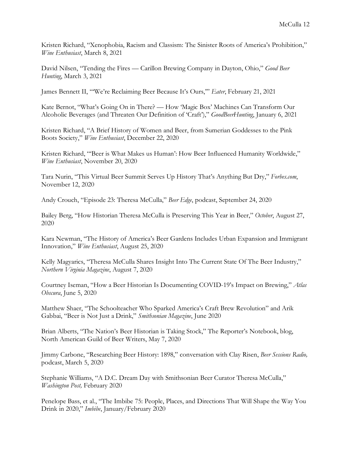Kristen Richard, "Xenophobia, Racism and Classism: The Sinister Roots of America's Prohibition," *Wine Enthusiast*, March 8, 2021

David Nilsen, "Tending the Fires — Carillon Brewing Company in Dayton, Ohio," *Good Beer Hunting*, March 3, 2021

James Bennett II, "'We're Reclaiming Beer Because It's Ours,'" *Eater*, February 21, 2021

Kate Bernot, "What's Going On in There? — How 'Magic Box' Machines Can Transform Our Alcoholic Beverages (and Threaten Our Definition of 'Craft')," *GoodBeerHunting*, January 6, 2021

Kristen Richard, "A Brief History of Women and Beer, from Sumerian Goddesses to the Pink Boots Society," *Wine Enthusiast*, December 22, 2020

Kristen Richard, "'Beer is What Makes us Human': How Beer Influenced Humanity Worldwide," *Wine Enthusiast*, November 20, 2020

Tara Nurin, "This Virtual Beer Summit Serves Up History That's Anything But Dry," *Forbes.com*, November 12, 2020

Andy Crouch, "Episode 23: Theresa McCulla," *Beer Edge*, podcast, September 24, 2020

Bailey Berg, "How Historian Theresa McCulla is Preserving This Year in Beer," *October*, August 27, 2020

Kara Newman, "The History of America's Beer Gardens Includes Urban Expansion and Immigrant Innovation," *Wine Enthusiast*, August 25, 2020

Kelly Magyarics, "Theresa McCulla Shares Insight Into The Current State Of The Beer Industry," *Northern Virginia Magazine*, August 7, 2020

Courtney Iseman, "How a Beer Historian Is Documenting COVID-19's Impact on Brewing," *Atlas Obscura*, June 5, 2020

Matthew Shaer, "The Schoolteacher Who Sparked America's Craft Brew Revolution" and Arik Gabbai, "Beer is Not Just a Drink," *Smithsonian Magazine*, June 2020

Brian Alberts, "The Nation's Beer Historian is Taking Stock," The Reporter's Notebook, blog, North American Guild of Beer Writers, May 7, 2020

Jimmy Carbone, "Researching Beer History: 1898," conversation with Clay Risen, *Beer Sessions Radio,* podcast, March 5, 2020

Stephanie Williams, "A D.C. Dream Day with Smithsonian Beer Curator Theresa McCulla," *Washington Post,* February 2020

Penelope Bass, et al., "The Imbibe 75: People, Places, and Directions That Will Shape the Way You Drink in 2020," *Imbibe*, January/February 2020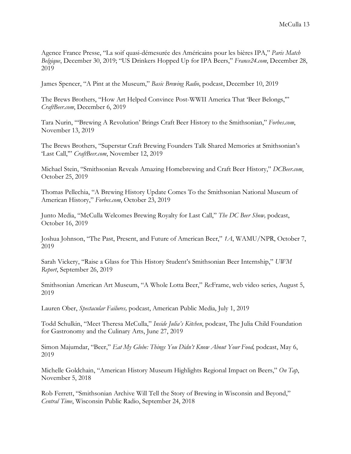Agence France Presse, "La soif quasi-démesurée des Américains pour les bières IPA," *Paris Match Belgique*, December 30, 2019; "US Drinkers Hopped Up for IPA Beers," *France24.com*, December 28, 2019

James Spencer, "A Pint at the Museum," *Basic Brewing Radio*, podcast, December 10, 2019

The Brews Brothers, "How Art Helped Convince Post-WWII America That 'Beer Belongs,'" *CraftBeer.com*, December 6, 2019

Tara Nurin, "'Brewing A Revolution' Brings Craft Beer History to the Smithsonian," *Forbes.com*, November 13, 2019

The Brews Brothers, "Superstar Craft Brewing Founders Talk Shared Memories at Smithsonian's 'Last Call,'" *CraftBeer.com*, November 12, 2019

Michael Stein, "Smithsonian Reveals Amazing Homebrewing and Craft Beer History," *DCBeer.com*, October 25, 2019

Thomas Pellechia, "A Brewing History Update Comes To the Smithsonian National Museum of American History," *Forbes.com*, October 23, 2019

Junto Media, "McCulla Welcomes Brewing Royalty for Last Call," *The DC Beer Show,* podcast, October 16, 2019

Joshua Johnson, "The Past, Present, and Future of American Beer," *1A*, WAMU/NPR, October 7, 2019

Sarah Vickery, "Raise a Glass for This History Student's Smithsonian Beer Internship," *UWM Report*, September 26, 2019

Smithsonian American Art Museum, "A Whole Lotta Beer," *Re:*Frame, web video series, August 5, 2019

Lauren Ober, *Spectacular Failures,* podcast, American Public Media, July 1, 2019

Todd Schulkin, "Meet Theresa McCulla," *Inside Julia's Kitchen*, podcast, The Julia Child Foundation for Gastronomy and the Culinary Arts, June 27, 2019

Simon Majumdar, "Beer," *Eat My Globe: Things You Didn't Know About Your Food,* podcast, May 6, 2019

Michelle Goldchain, "American History Museum Highlights Regional Impact on Beers," *On Tap*, November 5, 2018

Rob Ferrett, "Smithsonian Archive Will Tell the Story of Brewing in Wisconsin and Beyond," *Central Time*, Wisconsin Public Radio, September 24, 2018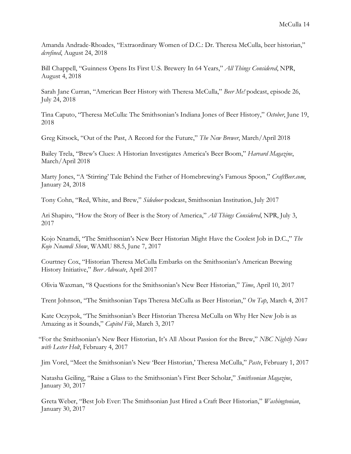Amanda Andrade-Rhoades, "Extraordinary Women of D.C.: Dr. Theresa McCulla, beer historian," *dcrefined*, August 24, 2018

Bill Chappell, "Guinness Opens Its First U.S. Brewery In 64 Years," *All Things Considered*, NPR, August 4, 2018

Sarah Jane Curran, "American Beer History with Theresa McCulla," *Beer Me!* podcast, episode 26, July 24, 2018

Tina Caputo, "Theresa McCulla: The Smithsonian's Indiana Jones of Beer History," *October*, June 19, 2018

Greg Kitsock, "Out of the Past, A Record for the Future," *The New Brewer*, March/April 2018

Bailey Trela, "Brew's Clues: A Historian Investigates America's Beer Boom," *Harvard Magazine*, March/April 2018

Marty Jones, "A 'Stirring' Tale Behind the Father of Homebrewing's Famous Spoon," *CraftBeer.com*, January 24, 2018

Tony Cohn, "Red, White, and Brew," *Sidedoor* podcast, Smithsonian Institution, July 2017

Ari Shapiro, "How the Story of Beer is the Story of America," *All Things Considered*, NPR, July 3, 2017

Kojo Nnamdi, "The Smithsonian's New Beer Historian Might Have the Coolest Job in D.C.," *The Kojo Nnamdi Show*, WAMU 88.5, June 7, 2017

Courtney Cox, "Historian Theresa McCulla Embarks on the Smithsonian's American Brewing History Initiative," *Beer Advocate*, April 2017

Olivia Waxman, "8 Questions for the Smithsonian's New Beer Historian," *Time*, April 10, 2017

Trent Johnson, "The Smithsonian Taps Theresa McCulla as Beer Historian," *On Tap*, March 4, 2017

Kate Oczypok, "The Smithsonian's Beer Historian Theresa McCulla on Why Her New Job is as Amazing as it Sounds," *Capitol File*, March 3, 2017

"For the Smithsonian's New Beer Historian, It's All About Passion for the Brew," *NBC Nightly News with Lester Holt*, February 4, 2017

Jim Vorel, "Meet the Smithsonian's New 'Beer Historian,' Theresa McCulla," *Paste*, February 1, 2017

Natasha Geiling, "Raise a Glass to the Smithsonian's First Beer Scholar," *Smithsonian Magazine*, January 30, 2017

Greta Weber, "Best Job Ever: The Smithsonian Just Hired a Craft Beer Historian," *Washingtonian*, January 30, 2017